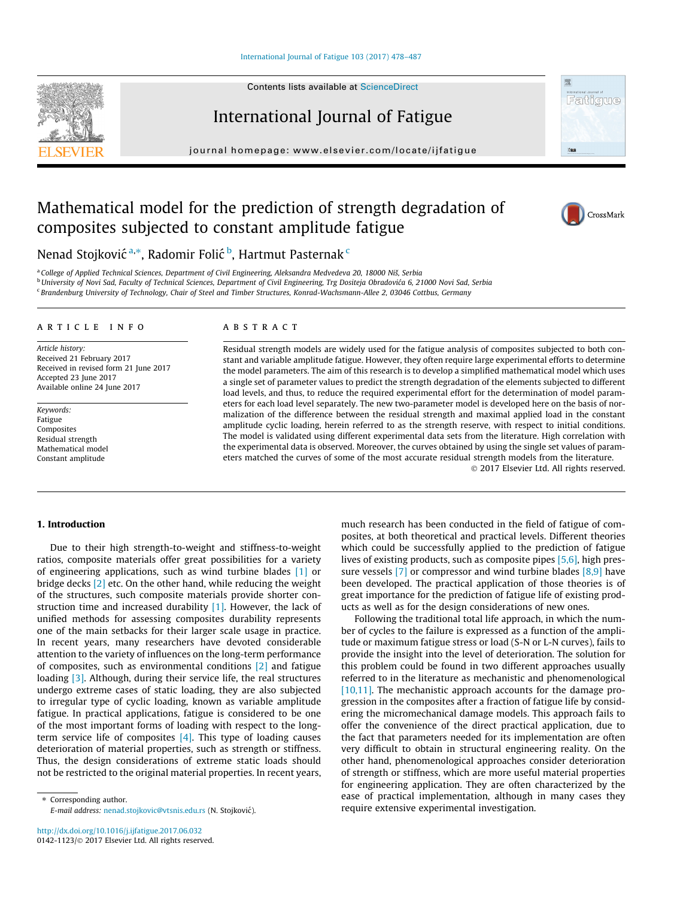International Journal of Fatigue

journal homepage: [www.elsevier.com/locate/ijfatigue](http://www.elsevier.com/locate/ijfatigue)



# Mathematical model for the prediction of strength degradation of composites subjected to constant amplitude fatigue



Nenad Stojković <sup>a,</sup>\*, Radomir Folić <sup>b</sup>, Hartmut Pasternak <sup>c</sup>

<sup>a</sup> College of Applied Technical Sciences, Department of Civil Engineering, Aleksandra Medvedeva 20, 18000 Niš, Serbia <sup>b</sup> University of Novi Sad, Faculty of Technical Sciences, Department of Civil Engineering, Trg Dositeja Obradovića 6, 21000 Novi Sad, Serbia <sup>c</sup> Brandenburg University of Technology, Chair of Steel and Timber Structures, Konrad-Wachsmann-Allee 2, 03046 Cottbus, Germany

## article info

Article history: Received 21 February 2017 Received in revised form 21 June 2017 Accepted 23 June 2017 Available online 24 June 2017

Keywords: Fatigue Composites Residual strength Mathematical model Constant amplitude

## ABSTRACT

Residual strength models are widely used for the fatigue analysis of composites subjected to both constant and variable amplitude fatigue. However, they often require large experimental efforts to determine the model parameters. The aim of this research is to develop a simplified mathematical model which uses a single set of parameter values to predict the strength degradation of the elements subjected to different load levels, and thus, to reduce the required experimental effort for the determination of model parameters for each load level separately. The new two-parameter model is developed here on the basis of normalization of the difference between the residual strength and maximal applied load in the constant amplitude cyclic loading, herein referred to as the strength reserve, with respect to initial conditions. The model is validated using different experimental data sets from the literature. High correlation with the experimental data is observed. Moreover, the curves obtained by using the single set values of parameters matched the curves of some of the most accurate residual strength models from the literature.

2017 Elsevier Ltd. All rights reserved.

## 1. Introduction

Due to their high strength-to-weight and stiffness-to-weight ratios, composite materials offer great possibilities for a variety of engineering applications, such as wind turbine blades [\[1\]](#page-8-0) or bridge decks [\[2\]](#page-8-0) etc. On the other hand, while reducing the weight of the structures, such composite materials provide shorter construction time and increased durability [\[1\]](#page-8-0). However, the lack of unified methods for assessing composites durability represents one of the main setbacks for their larger scale usage in practice. In recent years, many researchers have devoted considerable attention to the variety of influences on the long-term performance of composites, such as environmental conditions [\[2\]](#page-8-0) and fatigue loading [\[3\]](#page-8-0). Although, during their service life, the real structures undergo extreme cases of static loading, they are also subjected to irregular type of cyclic loading, known as variable amplitude fatigue. In practical applications, fatigue is considered to be one of the most important forms of loading with respect to the longterm service life of composites  $[4]$ . This type of loading causes deterioration of material properties, such as strength or stiffness. Thus, the design considerations of extreme static loads should not be restricted to the original material properties. In recent years, much research has been conducted in the field of fatigue of composites, at both theoretical and practical levels. Different theories which could be successfully applied to the prediction of fatigue lives of existing products, such as composite pipes [\[5,6\]](#page-8-0), high pressure vessels  $[7]$  or compressor and wind turbine blades  $[8,9]$  have been developed. The practical application of those theories is of great importance for the prediction of fatigue life of existing products as well as for the design considerations of new ones.

Following the traditional total life approach, in which the number of cycles to the failure is expressed as a function of the amplitude or maximum fatigue stress or load (S-N or L-N curves), fails to provide the insight into the level of deterioration. The solution for this problem could be found in two different approaches usually referred to in the literature as mechanistic and phenomenological [\[10,11\]](#page-8-0). The mechanistic approach accounts for the damage progression in the composites after a fraction of fatigue life by considering the micromechanical damage models. This approach fails to offer the convenience of the direct practical application, due to the fact that parameters needed for its implementation are often very difficult to obtain in structural engineering reality. On the other hand, phenomenological approaches consider deterioration of strength or stiffness, which are more useful material properties for engineering application. They are often characterized by the ease of practical implementation, although in many cases they require extensive experimental investigation.



<sup>⇑</sup> Corresponding author. E-mail address: [nenad.stojkovic@vtsnis.edu.rs](mailto:nenad.stojkovic@vtsnis.edu.rs) (N. Stojkovic´).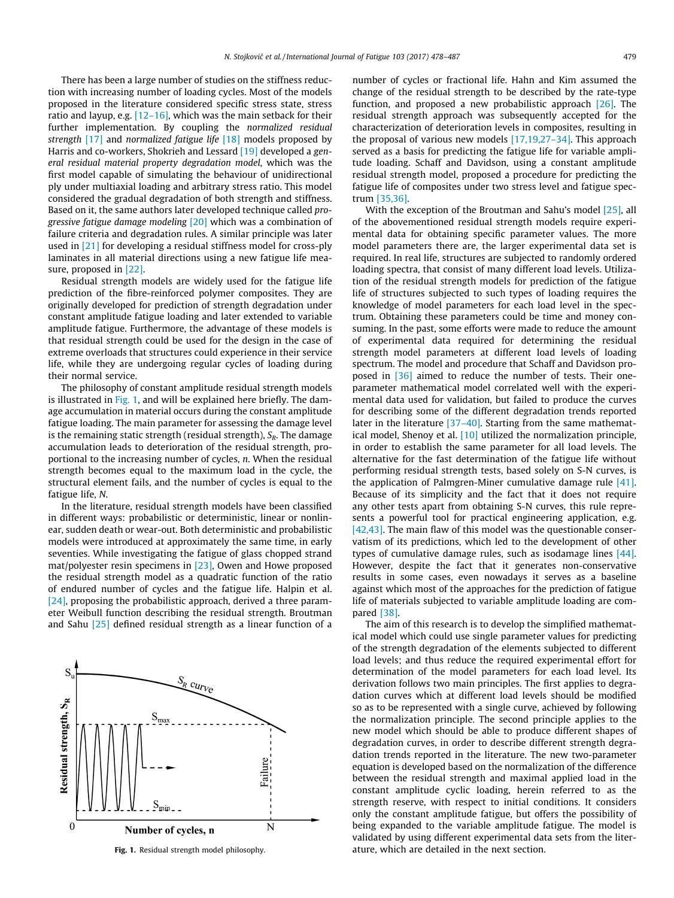There has been a large number of studies on the stiffness reduction with increasing number of loading cycles. Most of the models proposed in the literature considered specific stress state, stress ratio and layup, e.g.  $[12-16]$ , which was the main setback for their further implementation. By coupling the normalized residual strength [\[17\]](#page-8-0) and normalized fatigue life [\[18\]](#page-8-0) models proposed by Harris and co-workers, Shokrieh and Lessard [\[19\]](#page-8-0) developed a general residual material property degradation model, which was the first model capable of simulating the behaviour of unidirectional ply under multiaxial loading and arbitrary stress ratio. This model considered the gradual degradation of both strength and stiffness. Based on it, the same authors later developed technique called progressive fatigue damage modeling [\[20\]](#page-8-0) which was a combination of failure criteria and degradation rules. A similar principle was later used in [\[21\]](#page-8-0) for developing a residual stiffness model for cross-ply laminates in all material directions using a new fatigue life measure, proposed in [\[22\]](#page-8-0).

Residual strength models are widely used for the fatigue life prediction of the fibre-reinforced polymer composites. They are originally developed for prediction of strength degradation under constant amplitude fatigue loading and later extended to variable amplitude fatigue. Furthermore, the advantage of these models is that residual strength could be used for the design in the case of extreme overloads that structures could experience in their service life, while they are undergoing regular cycles of loading during their normal service.

The philosophy of constant amplitude residual strength models is illustrated in Fig. 1, and will be explained here briefly. The damage accumulation in material occurs during the constant amplitude fatigue loading. The main parameter for assessing the damage level is the remaining static strength (residual strength),  $S_R$ . The damage accumulation leads to deterioration of the residual strength, proportional to the increasing number of cycles, n. When the residual strength becomes equal to the maximum load in the cycle, the structural element fails, and the number of cycles is equal to the fatigue life, N.

In the literature, residual strength models have been classified in different ways: probabilistic or deterministic, linear or nonlinear, sudden death or wear-out. Both deterministic and probabilistic models were introduced at approximately the same time, in early seventies. While investigating the fatigue of glass chopped strand mat/polyester resin specimens in [\[23\],](#page-8-0) Owen and Howe proposed the residual strength model as a quadratic function of the ratio of endured number of cycles and the fatigue life. Halpin et al. [\[24\],](#page-8-0) proposing the probabilistic approach, derived a three parameter Weibull function describing the residual strength. Broutman and Sahu [\[25\]](#page-8-0) defined residual strength as a linear function of a



number of cycles or fractional life. Hahn and Kim assumed the change of the residual strength to be described by the rate-type function, and proposed a new probabilistic approach [\[26\]](#page-8-0). The residual strength approach was subsequently accepted for the characterization of deterioration levels in composites, resulting in the proposal of various new models [\[17,19,27–34\]](#page-8-0). This approach served as a basis for predicting the fatigue life for variable amplitude loading. Schaff and Davidson, using a constant amplitude residual strength model, proposed a procedure for predicting the fatigue life of composites under two stress level and fatigue spectrum [\[35,36\].](#page-8-0)

With the exception of the Broutman and Sahu's model [\[25\],](#page-8-0) all of the abovementioned residual strength models require experimental data for obtaining specific parameter values. The more model parameters there are, the larger experimental data set is required. In real life, structures are subjected to randomly ordered loading spectra, that consist of many different load levels. Utilization of the residual strength models for prediction of the fatigue life of structures subjected to such types of loading requires the knowledge of model parameters for each load level in the spectrum. Obtaining these parameters could be time and money consuming. In the past, some efforts were made to reduce the amount of experimental data required for determining the residual strength model parameters at different load levels of loading spectrum. The model and procedure that Schaff and Davidson proposed in [\[36\]](#page-9-0) aimed to reduce the number of tests. Their oneparameter mathematical model correlated well with the experimental data used for validation, but failed to produce the curves for describing some of the different degradation trends reported later in the literature [\[37–40\].](#page-9-0) Starting from the same mathematical model, Shenoy et al. [\[10\]](#page-8-0) utilized the normalization principle, in order to establish the same parameter for all load levels. The alternative for the fast determination of the fatigue life without performing residual strength tests, based solely on S-N curves, is the application of Palmgren-Miner cumulative damage rule [\[41\].](#page-9-0) Because of its simplicity and the fact that it does not require any other tests apart from obtaining S-N curves, this rule represents a powerful tool for practical engineering application, e.g. [\[42,43\]](#page-9-0). The main flaw of this model was the questionable conservatism of its predictions, which led to the development of other types of cumulative damage rules, such as isodamage lines [\[44\].](#page-9-0) However, despite the fact that it generates non-conservative results in some cases, even nowadays it serves as a baseline against which most of the approaches for the prediction of fatigue life of materials subjected to variable amplitude loading are compared [\[38\].](#page-9-0)

The aim of this research is to develop the simplified mathematical model which could use single parameter values for predicting of the strength degradation of the elements subjected to different load levels; and thus reduce the required experimental effort for determination of the model parameters for each load level. Its derivation follows two main principles. The first applies to degradation curves which at different load levels should be modified so as to be represented with a single curve, achieved by following the normalization principle. The second principle applies to the new model which should be able to produce different shapes of degradation curves, in order to describe different strength degradation trends reported in the literature. The new two-parameter equation is developed based on the normalization of the difference between the residual strength and maximal applied load in the constant amplitude cyclic loading, herein referred to as the strength reserve, with respect to initial conditions. It considers only the constant amplitude fatigue, but offers the possibility of being expanded to the variable amplitude fatigue. The model is validated by using different experimental data sets from the liter-Fig. 1. Residual strength model philosophy. **ature, which are detailed in the next section**.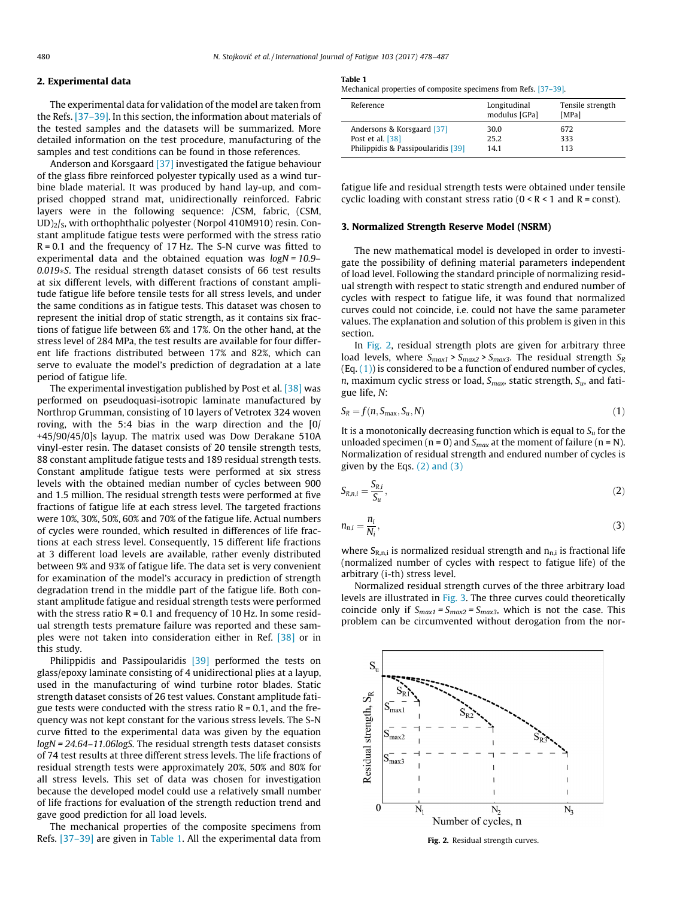## <span id="page-2-0"></span>2. Experimental data

The experimental data for validation of the model are taken from the Refs. [\[37–39\].](#page-9-0) In this section, the information about materials of the tested samples and the datasets will be summarized. More detailed information on the test procedure, manufacturing of the samples and test conditions can be found in those references.

Anderson and Korsgaard [\[37\]](#page-9-0) investigated the fatigue behaviour of the glass fibre reinforced polyester typically used as a wind turbine blade material. It was produced by hand lay-up, and comprised chopped strand mat, unidirectionally reinforced. Fabric layers were in the following sequence: /CSM, fabric, (CSM, UD)<sub>2</sub>/<sub>S</sub>, with orthophthalic polyester (Norpol 410M910) resin. Constant amplitude fatigue tests were performed with the stress ratio R = 0.1 and the frequency of 17 Hz. The S-N curve was fitted to experimental data and the obtained equation was  $logN = 10.9 0.019*$ S. The residual strength dataset consists of 66 test results at six different levels, with different fractions of constant amplitude fatigue life before tensile tests for all stress levels, and under the same conditions as in fatigue tests. This dataset was chosen to represent the initial drop of static strength, as it contains six fractions of fatigue life between 6% and 17%. On the other hand, at the stress level of 284 MPa, the test results are available for four different life fractions distributed between 17% and 82%, which can serve to evaluate the model's prediction of degradation at a late period of fatigue life.

The experimental investigation published by Post et al. [\[38\]](#page-9-0) was performed on pseudoquasi-isotropic laminate manufactured by Northrop Grumman, consisting of 10 layers of Vetrotex 324 woven roving, with the 5:4 bias in the warp direction and the [0/ +45/90/45/0]s layup. The matrix used was Dow Derakane 510A vinyl-ester resin. The dataset consists of 20 tensile strength tests, 88 constant amplitude fatigue tests and 189 residual strength tests. Constant amplitude fatigue tests were performed at six stress levels with the obtained median number of cycles between 900 and 1.5 million. The residual strength tests were performed at five fractions of fatigue life at each stress level. The targeted fractions were 10%, 30%, 50%, 60% and 70% of the fatigue life. Actual numbers of cycles were rounded, which resulted in differences of life fractions at each stress level. Consequently, 15 different life fractions at 3 different load levels are available, rather evenly distributed between 9% and 93% of fatigue life. The data set is very convenient for examination of the model's accuracy in prediction of strength degradation trend in the middle part of the fatigue life. Both constant amplitude fatigue and residual strength tests were performed with the stress ratio  $R = 0.1$  and frequency of 10 Hz. In some residual strength tests premature failure was reported and these samples were not taken into consideration either in Ref. [\[38\]](#page-9-0) or in this study.

Philippidis and Passipoularidis [\[39\]](#page-9-0) performed the tests on glass/epoxy laminate consisting of 4 unidirectional plies at a layup, used in the manufacturing of wind turbine rotor blades. Static strength dataset consists of 26 test values. Constant amplitude fatigue tests were conducted with the stress ratio  $R = 0.1$ , and the frequency was not kept constant for the various stress levels. The S-N curve fitted to the experimental data was given by the equation logN = 24.64–11.06logS. The residual strength tests dataset consists of 74 test results at three different stress levels. The life fractions of residual strength tests were approximately 20%, 50% and 80% for all stress levels. This set of data was chosen for investigation because the developed model could use a relatively small number of life fractions for evaluation of the strength reduction trend and gave good prediction for all load levels.

The mechanical properties of the composite specimens from Refs. [\[37–39\]](#page-9-0) are given in Table 1. All the experimental data from

#### Table 1

Mechanical properties of composite specimens from Refs. [\[37–39\].](#page-9-0)

| Reference                          | Longitudinal<br>modulus [GPa] | Tensile strength<br>[MPa] |
|------------------------------------|-------------------------------|---------------------------|
| Andersons & Korsgaard [37]         | 30.0                          | 672                       |
| Post et al. [38]                   | 25.2                          | 333                       |
| Philippidis & Passipoularidis [39] | 14.1                          | 113                       |

fatigue life and residual strength tests were obtained under tensile cyclic loading with constant stress ratio  $(0 \lt R \lt 1$  and  $R = const)$ .

## 3. Normalized Strength Reserve Model (NSRM)

The new mathematical model is developed in order to investigate the possibility of defining material parameters independent of load level. Following the standard principle of normalizing residual strength with respect to static strength and endured number of cycles with respect to fatigue life, it was found that normalized curves could not coincide, i.e. could not have the same parameter values. The explanation and solution of this problem is given in this section.

In Fig. 2, residual strength plots are given for arbitrary three load levels, where  $S_{max1} > S_{max2} > S_{max3}$ . The residual strength  $S_R$  $(Eq. (1))$  is considered to be a function of endured number of cycles, n, maximum cyclic stress or load,  $S_{max}$ , static strength,  $S_u$ , and fatigue life, N:

$$
S_R = f(n, S_{\text{max}}, S_u, N) \tag{1}
$$

It is a monotonically decreasing function which is equal to  $S<sub>u</sub>$  for the unloaded specimen (n = 0) and  $S_{max}$  at the moment of failure (n = N). Normalization of residual strength and endured number of cycles is given by the Eqs.  $(2)$  and  $(3)$ 

$$
S_{R,n,i} = \frac{S_{R,i}}{S_u},\tag{2}
$$

$$
n_{n,i} = \frac{n_i}{N_i},\tag{3}
$$

where  $S_{R,n,i}$  is normalized residual strength and  $n_{n,i}$  is fractional life (normalized number of cycles with respect to fatigue life) of the arbitrary (i-th) stress level.

Normalized residual strength curves of the three arbitrary load levels are illustrated in [Fig. 3.](#page-3-0) The three curves could theoretically coincide only if  $S_{max1} = S_{max2} = S_{max3}$ , which is not the case. This problem can be circumvented without derogation from the nor-

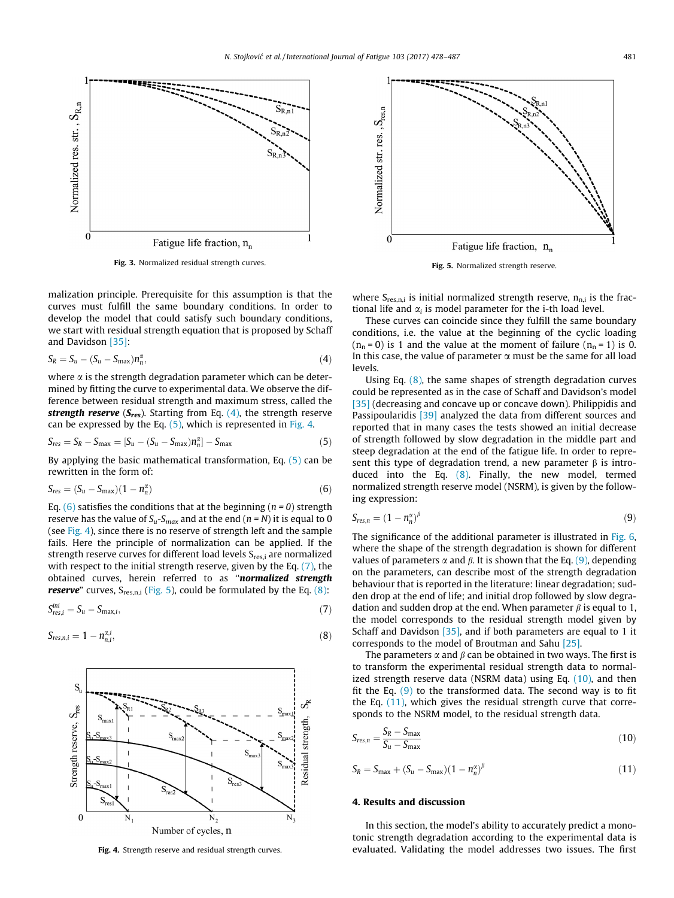<span id="page-3-0"></span>

Fig. 3. Normalized residual strength curves.

malization principle. Prerequisite for this assumption is that the curves must fulfill the same boundary conditions. In order to develop the model that could satisfy such boundary conditions, we start with residual strength equation that is proposed by Schaff and Davidson [\[35\]](#page-8-0):

$$
S_R = S_u - (S_u - S_{\text{max}})n_n^{\alpha},\tag{4}
$$

where  $\alpha$  is the strength degradation parameter which can be determined by fitting the curve to experimental data. We observe the difference between residual strength and maximum stress, called the strength reserve  $(S_{res})$ . Starting from Eq. (4), the strength reserve can be expressed by the Eq. (5), which is represented in Fig. 4.

$$
S_{res} = S_R - S_{\text{max}} = [S_u - (S_u - S_{\text{max}})n_n^{\alpha}] - S_{\text{max}}
$$
(5)

By applying the basic mathematical transformation, Eq. (5) can be rewritten in the form of:

$$
S_{res} = (S_u - S_{\text{max}})(1 - n_n^{\alpha})
$$
\n<sup>(6)</sup>

Eq. (6) satisfies the conditions that at the beginning ( $n=0$ ) strength reserve has the value of  $S_u$ - $S_{max}$  and at the end ( $n = N$ ) it is equal to 0 (see Fig. 4), since there is no reserve of strength left and the sample fails. Here the principle of normalization can be applied. If the strength reserve curves for different load levels  $S_{res,i}$  are normalized with respect to the initial strength reserve, given by the Eq. (7), the obtained curves, herein referred to as "normalized strength reserve" curves,  $S_{res,n,i}$  (Fig. 5), could be formulated by the Eq. (8):

$$
S_{res,i}^{ini} = S_u - S_{\text{max},i},\tag{7}
$$

$$
S_{res,n,i}=1-n_{n,i}^{\alpha,i},\tag{8}
$$



Fig. 4. Strength reserve and residual strength curves.



Fig. 5. Normalized strength reserve.

where  $S_{res,n,i}$  is initial normalized strength reserve,  $n_{n,i}$  is the fractional life and  $\alpha_i$  is model parameter for the i-th load level.

These curves can coincide since they fulfill the same boundary conditions, i.e. the value at the beginning of the cyclic loading  $(n_n = 0)$  is 1 and the value at the moment of failure  $(n_n = 1)$  is 0. In this case, the value of parameter  $\alpha$  must be the same for all load levels.

Using Eq. (8), the same shapes of strength degradation curves could be represented as in the case of Schaff and Davidson's model [\[35\]](#page-8-0) (decreasing and concave up or concave down). Philippidis and Passipoularidis [\[39\]](#page-9-0) analyzed the data from different sources and reported that in many cases the tests showed an initial decrease of strength followed by slow degradation in the middle part and steep degradation at the end of the fatigue life. In order to represent this type of degradation trend, a new parameter  $\beta$  is introduced into the Eq. (8). Finally, the new model, termed normalized strength reserve model (NSRM), is given by the following expression:

$$
S_{res,n} = (1 - n_n^{\alpha})^{\beta} \tag{9}
$$

The significance of the additional parameter is illustrated in [Fig. 6,](#page-4-0) where the shape of the strength degradation is shown for different values of parameters  $\alpha$  and  $\beta$ . It is shown that the Eq. (9), depending on the parameters, can describe most of the strength degradation behaviour that is reported in the literature: linear degradation; sudden drop at the end of life; and initial drop followed by slow degradation and sudden drop at the end. When parameter  $\beta$  is equal to 1, the model corresponds to the residual strength model given by Schaff and Davidson [\[35\]](#page-8-0), and if both parameters are equal to 1 it corresponds to the model of Broutman and Sahu [\[25\].](#page-8-0)

The parameters  $\alpha$  and  $\beta$  can be obtained in two ways. The first is to transform the experimental residual strength data to normalized strength reserve data (NSRM data) using Eq.  $(10)$ , and then fit the Eq.  $(9)$  to the transformed data. The second way is to fit the Eq. (11), which gives the residual strength curve that corresponds to the NSRM model, to the residual strength data.

$$
S_{res,n} = \frac{S_R - S_{\text{max}}}{S_u - S_{\text{max}}} \tag{10}
$$

$$
S_R = S_{\text{max}} + (S_u - S_{\text{max}})(1 - n_n^{\alpha})^{\beta}
$$
 (11)

## 4. Results and discussion

In this section, the model's ability to accurately predict a monotonic strength degradation according to the experimental data is evaluated. Validating the model addresses two issues. The first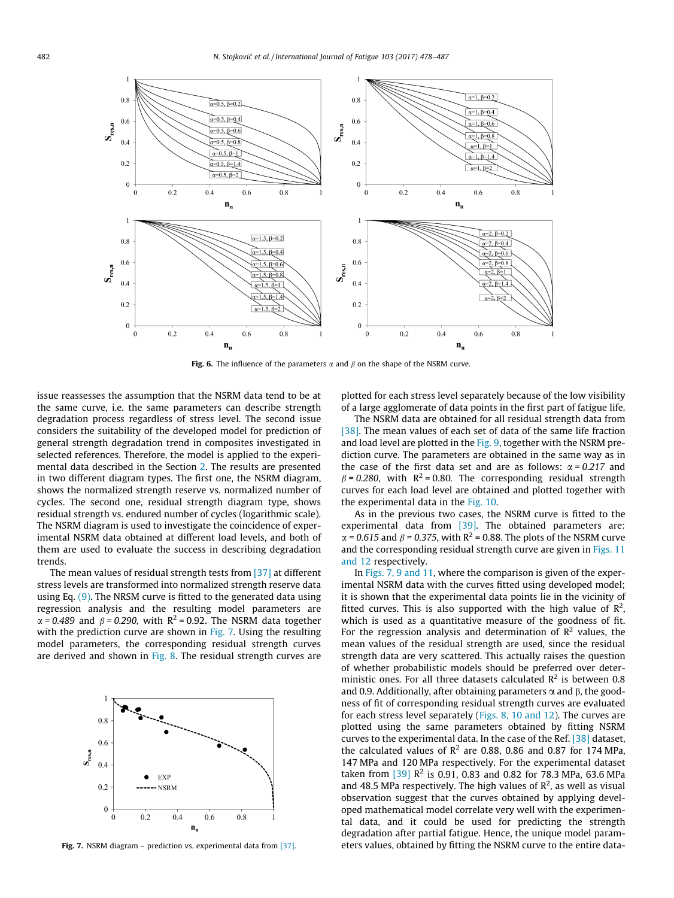<span id="page-4-0"></span>

Fig. 6. The influence of the parameters  $\alpha$  and  $\beta$  on the shape of the NSRM curve.

issue reassesses the assumption that the NSRM data tend to be at the same curve, i.e. the same parameters can describe strength degradation process regardless of stress level. The second issue considers the suitability of the developed model for prediction of general strength degradation trend in composites investigated in selected references. Therefore, the model is applied to the experimental data described in the Section [2.](#page-2-0) The results are presented in two different diagram types. The first one, the NSRM diagram, shows the normalized strength reserve vs. normalized number of cycles. The second one, residual strength diagram type, shows residual strength vs. endured number of cycles (logarithmic scale). The NSRM diagram is used to investigate the coincidence of experimental NSRM data obtained at different load levels, and both of them are used to evaluate the success in describing degradation trends.

The mean values of residual strength tests from [\[37\]](#page-9-0) at different stress levels are transformed into normalized strength reserve data using Eq. [\(9\).](#page-3-0) The NRSM curve is fitted to the generated data using regression analysis and the resulting model parameters are  $\alpha$  = 0.489 and  $\beta$  = 0.290, with R<sup>2</sup> = 0.92. The NSRM data together with the prediction curve are shown in Fig. 7. Using the resulting model parameters, the corresponding residual strength curves are derived and shown in [Fig. 8](#page-5-0). The residual strength curves are



Fig. 7. NSRM diagram - prediction vs. experimental data from [\[37\]](#page-9-0).

plotted for each stress level separately because of the low visibility of a large agglomerate of data points in the first part of fatigue life.

The NSRM data are obtained for all residual strength data from [\[38\]](#page-9-0). The mean values of each set of data of the same life fraction and load level are plotted in the [Fig. 9](#page-5-0), together with the NSRM prediction curve. The parameters are obtained in the same way as in the case of the first data set and are as follows:  $\alpha = 0.217$  and  $\beta$  = 0.280, with R<sup>2</sup> = 0.80. The corresponding residual strength curves for each load level are obtained and plotted together with the experimental data in the [Fig. 10.](#page-5-0)

As in the previous two cases, the NSRM curve is fitted to the experimental data from [\[39\]](#page-9-0). The obtained parameters are:  $\alpha$  = 0.615 and  $\beta$  = 0.375, with R<sup>2</sup> = 0.88. The plots of the NSRM curve and the corresponding residual strength curve are given in [Figs. 11](#page-5-0) [and 12](#page-5-0) respectively.

In Figs. 7, 9 and 11, where the comparison is given of the experimental NSRM data with the curves fitted using developed model; it is shown that the experimental data points lie in the vicinity of fitted curves. This is also supported with the high value of  $\mathbb{R}^2$ , which is used as a quantitative measure of the goodness of fit. For the regression analysis and determination of  $R^2$  values, the mean values of the residual strength are used, since the residual strength data are very scattered. This actually raises the question of whether probabilistic models should be preferred over deterministic ones. For all three datasets calculated  $\mathbb{R}^2$  is between 0.8 and 0.9. Additionally, after obtaining parameters  $\alpha$  and  $\beta$ , the goodness of fit of corresponding residual strength curves are evaluated for each stress level separately ([Figs. 8, 10 and 12](#page-5-0)). The curves are plotted using the same parameters obtained by fitting NSRM curves to the experimental data. In the case of the Ref. [\[38\]](#page-9-0) dataset, the calculated values of  $\mathbb{R}^2$  are 0.88, 0.86 and 0.87 for 174 MPa, 147 MPa and 120 MPa respectively. For the experimental dataset taken from [\[39\]](#page-9-0)  $\mathbb{R}^2$  is 0.91, 0.83 and 0.82 for 78.3 MPa, 63.6 MPa and 48.5 MPa respectively. The high values of  $\mathbb{R}^2$ , as well as visual observation suggest that the curves obtained by applying developed mathematical model correlate very well with the experimental data, and it could be used for predicting the strength degradation after partial fatigue. Hence, the unique model parameters values, obtained by fitting the NSRM curve to the entire data-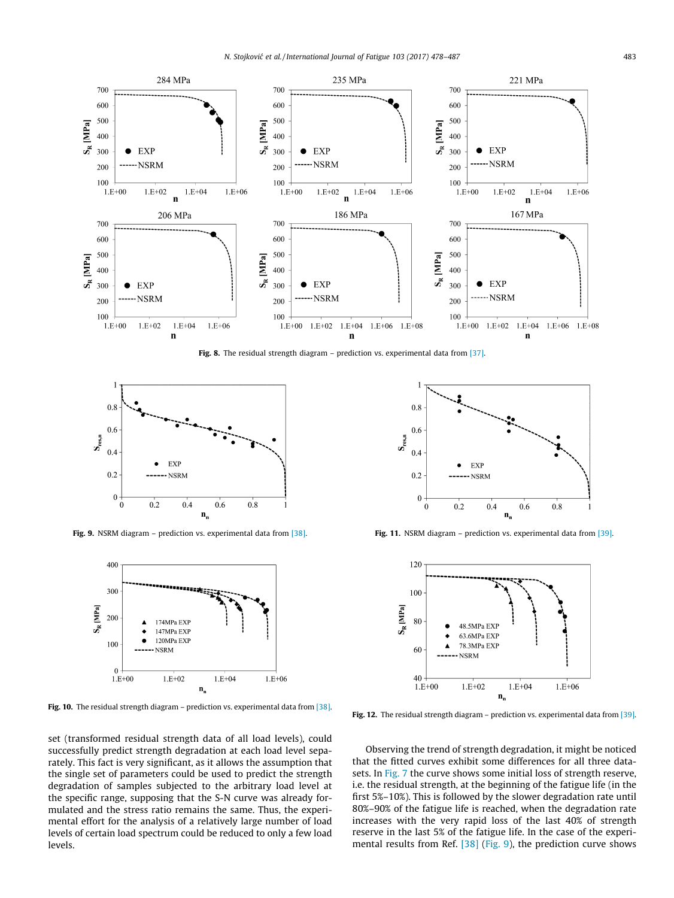<span id="page-5-0"></span>

Fig. 8. The residual strength diagram - prediction vs. experimental data from [\[37\].](#page-9-0)



Fig. 9. NSRM diagram – prediction vs. experimental data from [\[38\]](#page-9-0).



Fig. 10. The residual strength diagram – prediction vs. experimental data from  $[38]$ .

set (transformed residual strength data of all load levels), could successfully predict strength degradation at each load level separately. This fact is very significant, as it allows the assumption that the single set of parameters could be used to predict the strength degradation of samples subjected to the arbitrary load level at the specific range, supposing that the S-N curve was already formulated and the stress ratio remains the same. Thus, the experimental effort for the analysis of a relatively large number of load levels of certain load spectrum could be reduced to only a few load levels.



Fig. 11. NSRM diagram – prediction vs. experimental data from [\[39\].](#page-9-0)



Fig. 12. The residual strength diagram - prediction vs. experimental data from [\[39\].](#page-9-0)

Observing the trend of strength degradation, it might be noticed that the fitted curves exhibit some differences for all three datasets. In [Fig. 7](#page-4-0) the curve shows some initial loss of strength reserve, i.e. the residual strength, at the beginning of the fatigue life (in the first 5%–10%). This is followed by the slower degradation rate until 80%–90% of the fatigue life is reached, when the degradation rate increases with the very rapid loss of the last 40% of strength reserve in the last 5% of the fatigue life. In the case of the experimental results from Ref. [\[38\]](#page-9-0) (Fig. 9), the prediction curve shows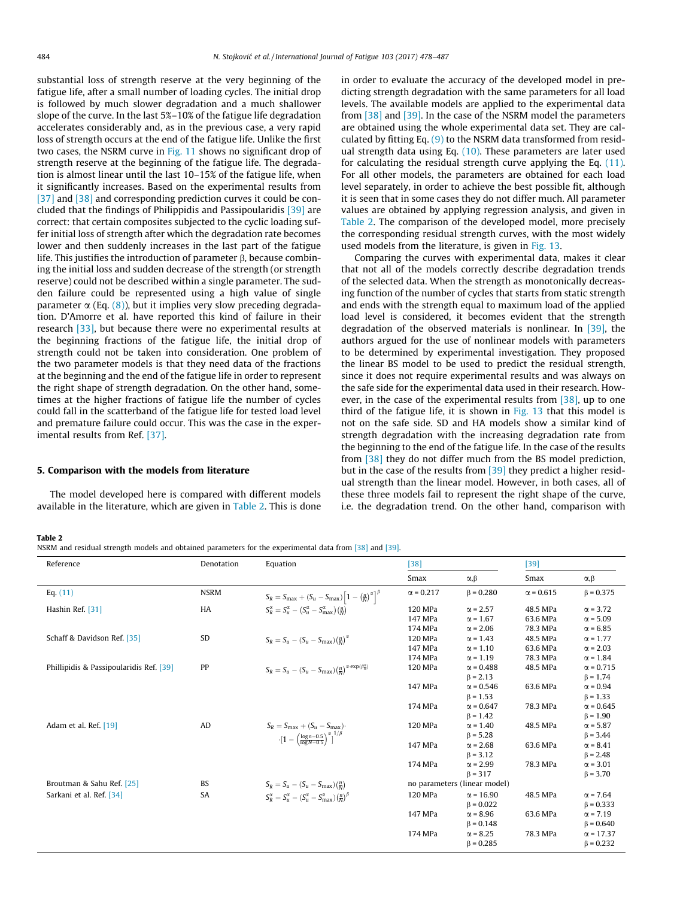<span id="page-6-0"></span>substantial loss of strength reserve at the very beginning of the fatigue life, after a small number of loading cycles. The initial drop is followed by much slower degradation and a much shallower slope of the curve. In the last 5%–10% of the fatigue life degradation accelerates considerably and, as in the previous case, a very rapid loss of strength occurs at the end of the fatigue life. Unlike the first two cases, the NSRM curve in [Fig. 11](#page-5-0) shows no significant drop of strength reserve at the beginning of the fatigue life. The degradation is almost linear until the last 10–15% of the fatigue life, when it significantly increases. Based on the experimental results from [\[37\]](#page-9-0) and [\[38\]](#page-9-0) and corresponding prediction curves it could be concluded that the findings of Philippidis and Passipoularidis [\[39\]](#page-9-0) are correct: that certain composites subjected to the cyclic loading suffer initial loss of strength after which the degradation rate becomes lower and then suddenly increases in the last part of the fatigue life. This justifies the introduction of parameter  $\beta$ , because combining the initial loss and sudden decrease of the strength (or strength reserve) could not be described within a single parameter. The sudden failure could be represented using a high value of single parameter  $\alpha$  (Eq. [\(8\)](#page-3-0)), but it implies very slow preceding degradation. D'Amorre et al. have reported this kind of failure in their research [\[33\]](#page-8-0), but because there were no experimental results at the beginning fractions of the fatigue life, the initial drop of strength could not be taken into consideration. One problem of the two parameter models is that they need data of the fractions at the beginning and the end of the fatigue life in order to represent the right shape of strength degradation. On the other hand, sometimes at the higher fractions of fatigue life the number of cycles could fall in the scatterband of the fatigue life for tested load level and premature failure could occur. This was the case in the experimental results from Ref. [\[37\]](#page-9-0).

## 5. Comparison with the models from literature

The model developed here is compared with different models available in the literature, which are given in Table 2. This is done in order to evaluate the accuracy of the developed model in predicting strength degradation with the same parameters for all load levels. The available models are applied to the experimental data from [\[38\]](#page-9-0) and [\[39\]](#page-9-0). In the case of the NSRM model the parameters are obtained using the whole experimental data set. They are calculated by fitting Eq.  $(9)$  to the NSRM data transformed from residual strength data using Eq.  $(10)$ . These parameters are later used for calculating the residual strength curve applying the Eq. [\(11\).](#page-3-0) For all other models, the parameters are obtained for each load level separately, in order to achieve the best possible fit, although it is seen that in some cases they do not differ much. All parameter values are obtained by applying regression analysis, and given in Table 2. The comparison of the developed model, more precisely the corresponding residual strength curves, with the most widely used models from the literature, is given in [Fig. 13.](#page-7-0)

Comparing the curves with experimental data, makes it clear that not all of the models correctly describe degradation trends of the selected data. When the strength as monotonically decreasing function of the number of cycles that starts from static strength and ends with the strength equal to maximum load of the applied load level is considered, it becomes evident that the strength degradation of the observed materials is nonlinear. In [\[39\],](#page-9-0) the authors argued for the use of nonlinear models with parameters to be determined by experimental investigation. They proposed the linear BS model to be used to predict the residual strength, since it does not require experimental results and was always on the safe side for the experimental data used in their research. How-ever, in the case of the experimental results from [\[38\],](#page-9-0) up to one third of the fatigue life, it is shown in [Fig. 13](#page-7-0) that this model is not on the safe side. SD and HA models show a similar kind of strength degradation with the increasing degradation rate from the beginning to the end of the fatigue life. In the case of the results from [\[38\]](#page-9-0) they do not differ much from the BS model prediction, but in the case of the results from [\[39\]](#page-9-0) they predict a higher residual strength than the linear model. However, in both cases, all of these three models fail to represent the right shape of the curve, i.e. the degradation trend. On the other hand, comparison with

#### Table 2

NSRM and residual strength models and obtained parameters for the experimental data from [\[38\]](#page-9-0) and [\[39\].](#page-9-0)

| Reference                                     | Denotation  | Equation                                                                                                                                 | $[38]$                       |                  | [39]             |                  |  |
|-----------------------------------------------|-------------|------------------------------------------------------------------------------------------------------------------------------------------|------------------------------|------------------|------------------|------------------|--|
|                                               |             |                                                                                                                                          | Smax                         | $\alpha, \beta$  | Smax             | $\alpha, \beta$  |  |
| Eq. $(11)$                                    | <b>NSRM</b> | $S_R = S_{\text{max}} + (S_u - S_{\text{max}}) \left[ 1 - {n \choose N}^{\alpha} \right]^{\beta}$                                        | $\alpha = 0.217$             | $\beta = 0.280$  | $\alpha = 0.615$ | $\beta = 0.375$  |  |
| Hashin Ref. [31]                              | <b>HA</b>   | $S_R^{\alpha} = S_{\mu}^{\alpha} - (S_{\mu}^{\alpha} - S_{\text{max}}^{\alpha})(\frac{n}{N})$                                            | 120 MPa                      | $\alpha = 2.57$  | 48.5 MPa         | $\alpha$ = 3.72  |  |
|                                               |             |                                                                                                                                          | 147 MPa                      | $\alpha$ = 1.67  | 63.6 MPa         | $\alpha$ = 5.09  |  |
|                                               |             |                                                                                                                                          | 174 MPa                      | $\alpha$ = 2.06  | 78.3 MPa         | $\alpha$ = 6.85  |  |
| Schaff & Davidson Ref. [35]                   | SD          | $S_R = S_u - (S_u - S_{\text{max}})(\frac{n}{N})^{\alpha}$                                                                               | 120 MPa                      | $\alpha$ = 1.43  | 48.5 MPa         | $\alpha$ = 1.77  |  |
|                                               |             |                                                                                                                                          | 147 MPa                      | $\alpha$ = 1.10  | 63.6 MPa         | $\alpha$ = 2.03  |  |
|                                               |             |                                                                                                                                          | 174 MPa                      | $\alpha$ = 1.19  | 78.3 MPa         | $\alpha$ = 1.84  |  |
| PP<br>Phillipidis & Passipoularidis Ref. [39] |             | $S_R = S_u - (S_u - S_{\text{max}})(\frac{n}{N})^{\alpha \cdot \exp(\beta_N^n)}$                                                         | 120 MPa                      | $\alpha = 0.488$ | 48.5 MPa         | $\alpha = 0.715$ |  |
|                                               |             |                                                                                                                                          |                              | $\beta = 2.13$   |                  | $\beta = 1.74$   |  |
|                                               |             |                                                                                                                                          | 147 MPa                      | $\alpha = 0.546$ | 63.6 MPa         | $\alpha$ = 0.94  |  |
|                                               |             |                                                                                                                                          |                              | $\beta = 1.53$   |                  | $\beta = 1.33$   |  |
|                                               |             |                                                                                                                                          | 174 MPa                      | $\alpha = 0.647$ | 78.3 MPa         | $\alpha = 0.645$ |  |
|                                               |             |                                                                                                                                          |                              | $\beta = 1.42$   |                  | $\beta = 1.90$   |  |
| Adam et al. Ref. [19]                         | AD          |                                                                                                                                          | 120 MPa                      | $\alpha$ = 1.40  | 48.5 MPa         | $\alpha$ = 5.87  |  |
|                                               |             | $S_R = S_{\text{max}} + (S_u - S_{\text{max}}) \cdot \left[1 - \left(\frac{\log n - 0.5}{\log N - 0.5}\right)^{\alpha}\right]^{1/\beta}$ |                              | $\beta = 5.28$   |                  | $\beta = 3.44$   |  |
|                                               |             |                                                                                                                                          | 147 MPa                      | $\alpha$ = 2.68  | 63.6 MPa         | $\alpha = 8.41$  |  |
|                                               |             |                                                                                                                                          |                              | $\beta = 3.12$   |                  | $\beta = 2.48$   |  |
|                                               |             |                                                                                                                                          | 174 MPa                      | $\alpha$ = 2.99  | 78.3 MPa         | $\alpha$ = 3.01  |  |
|                                               |             |                                                                                                                                          |                              | $\beta = 317$    |                  | $\beta = 3.70$   |  |
| Broutman & Sahu Ref. [25]                     | BS          | $S_R = S_u - (S_u - S_{\text{max}})(\frac{n}{N})$                                                                                        | no parameters (linear model) |                  |                  |                  |  |
| Sarkani et al. Ref. [34]                      | SA          | $S_R^{\alpha} = S_u^{\alpha} - (S_u^{\alpha} - S_{\text{max}}^{\alpha})(\frac{n}{N})^{\beta}$                                            | 120 MPa                      | $\alpha = 16.90$ | 48.5 MPa         | $\alpha$ = 7.64  |  |
|                                               |             |                                                                                                                                          |                              | $\beta = 0.022$  |                  | $\beta = 0.333$  |  |
|                                               |             |                                                                                                                                          | 147 MPa                      | $\alpha$ = 8.96  | 63.6 MPa         | $\alpha$ = 7.19  |  |
|                                               |             |                                                                                                                                          |                              | $\beta = 0.148$  |                  | $\beta = 0.640$  |  |
|                                               |             |                                                                                                                                          | 174 MPa                      | $\alpha$ = 8.25  | 78.3 MPa         | $\alpha$ = 17.37 |  |
|                                               |             |                                                                                                                                          |                              | $\beta = 0.285$  |                  | $\beta = 0.232$  |  |
|                                               |             |                                                                                                                                          |                              |                  |                  |                  |  |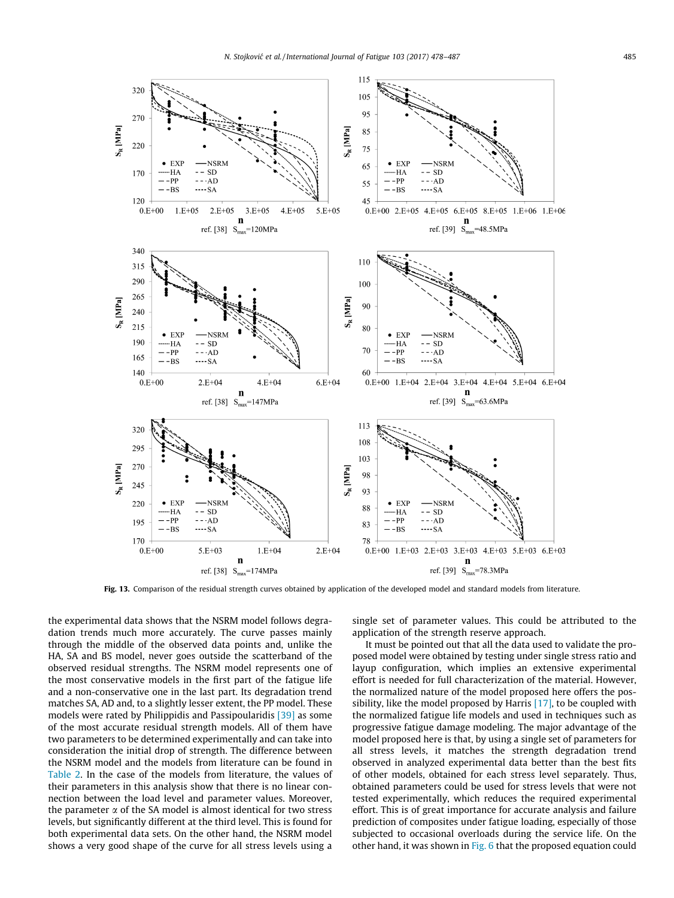<span id="page-7-0"></span>

Fig. 13. Comparison of the residual strength curves obtained by application of the developed model and standard models from literature.

the experimental data shows that the NSRM model follows degradation trends much more accurately. The curve passes mainly through the middle of the observed data points and, unlike the HA, SA and BS model, never goes outside the scatterband of the observed residual strengths. The NSRM model represents one of the most conservative models in the first part of the fatigue life and a non-conservative one in the last part. Its degradation trend matches SA, AD and, to a slightly lesser extent, the PP model. These models were rated by Philippidis and Passipoularidis [\[39\]](#page-9-0) as some of the most accurate residual strength models. All of them have two parameters to be determined experimentally and can take into consideration the initial drop of strength. The difference between the NSRM model and the models from literature can be found in [Table 2](#page-6-0). In the case of the models from literature, the values of their parameters in this analysis show that there is no linear connection between the load level and parameter values. Moreover, the parameter  $\alpha$  of the SA model is almost identical for two stress levels, but significantly different at the third level. This is found for both experimental data sets. On the other hand, the NSRM model shows a very good shape of the curve for all stress levels using a

single set of parameter values. This could be attributed to the application of the strength reserve approach.

It must be pointed out that all the data used to validate the proposed model were obtained by testing under single stress ratio and layup configuration, which implies an extensive experimental effort is needed for full characterization of the material. However, the normalized nature of the model proposed here offers the possibility, like the model proposed by Harris  $[17]$ , to be coupled with the normalized fatigue life models and used in techniques such as progressive fatigue damage modeling. The major advantage of the model proposed here is that, by using a single set of parameters for all stress levels, it matches the strength degradation trend observed in analyzed experimental data better than the best fits of other models, obtained for each stress level separately. Thus, obtained parameters could be used for stress levels that were not tested experimentally, which reduces the required experimental effort. This is of great importance for accurate analysis and failure prediction of composites under fatigue loading, especially of those subjected to occasional overloads during the service life. On the other hand, it was shown in [Fig. 6](#page-4-0) that the proposed equation could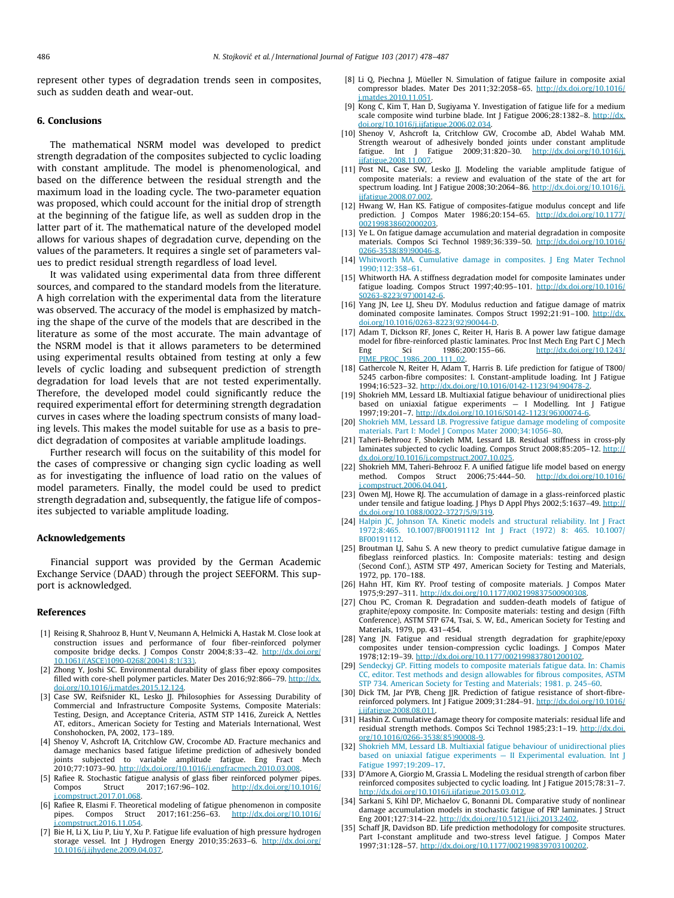<span id="page-8-0"></span>represent other types of degradation trends seen in composites, such as sudden death and wear-out.

### 6. Conclusions

The mathematical NSRM model was developed to predict strength degradation of the composites subjected to cyclic loading with constant amplitude. The model is phenomenological, and based on the difference between the residual strength and the maximum load in the loading cycle. The two-parameter equation was proposed, which could account for the initial drop of strength at the beginning of the fatigue life, as well as sudden drop in the latter part of it. The mathematical nature of the developed model allows for various shapes of degradation curve, depending on the values of the parameters. It requires a single set of parameters values to predict residual strength regardless of load level.

It was validated using experimental data from three different sources, and compared to the standard models from the literature. A high correlation with the experimental data from the literature was observed. The accuracy of the model is emphasized by matching the shape of the curve of the models that are described in the literature as some of the most accurate. The main advantage of the NSRM model is that it allows parameters to be determined using experimental results obtained from testing at only a few levels of cyclic loading and subsequent prediction of strength degradation for load levels that are not tested experimentally. Therefore, the developed model could significantly reduce the required experimental effort for determining strength degradation curves in cases where the loading spectrum consists of many loading levels. This makes the model suitable for use as a basis to predict degradation of composites at variable amplitude loadings.

Further research will focus on the suitability of this model for the cases of compressive or changing sign cyclic loading as well as for investigating the influence of load ratio on the values of model parameters. Finally, the model could be used to predict strength degradation and, subsequently, the fatigue life of composites subjected to variable amplitude loading.

#### Acknowledgements

Financial support was provided by the German Academic Exchange Service (DAAD) through the project SEEFORM. This support is acknowledged.

#### References

- [1] Reising R, Shahrooz B, Hunt V, Neumann A, Helmicki A, Hastak M. Close look at construction issues and performance of four fiber-reinforced polymer composite bridge decks. J Compos Constr 2004;8:33–42. [http://dx.doi.org/](http://dx.doi.org/10.1061/(ASCE)1090-0268(2004)8:1(33)) [10.1061/\(ASCE\)1090-0268\(2004\) 8:1\(33\)](http://dx.doi.org/10.1061/(ASCE)1090-0268(2004)8:1(33)).
- [2] Zhong Y, Joshi SC. Environmental durability of glass fiber epoxy composites filled with core-shell polymer particles. Mater Des 2016;92:866-79. [http://dx.](http://dx.doi.org/10.1016/j.matdes.2015.12.124) g/10.1016/j.matdes.2015.12.124
- [3] Case SW, Reifsnider KL, Lesko JJ. Philosophies for Assessing Durability of Commercial and Infrastructure Composite Systems, Composite Materials: Testing, Design, and Acceptance Criteria, ASTM STP 1416, Zureick A, Nettles AT, editors., American Society for Testing and Materials International, West Conshohocken, PA, 2002, 173–189.
- [4] Shenoy V, Ashcroft IA, Critchlow GW, Crocombe AD. Fracture mechanics and damage mechanics based fatigue lifetime prediction of adhesively bonded joints subjected to variable amplitude fatigue. Eng Fract Mech 2010;77:1073–90. <http://dx.doi.org/10.1016/j.engfracmech.2010.03.008>.
- [5] Rafiee R. Stochastic fatigue analysis of glass fiber reinforced polymer pipes.<br>Compos Struct 2017:167:96-102. http://dx.doi.org/10.1016/ 2017;167:96-102. compstruct.2017.01.068.
- [6] Rafiee R, Elasmi F. Theoretical modeling of fatigue phenomenon in composite pipes. Compos Struct 2017:161:256-63. http://dx.doi.org/10.1016/ pipes. Compos Struct [j.compstruct.2016.11.054](http://dx.doi.org/10.1016/j.compstruct.2016.11.054).
- [7] Bie H, Li X, Liu P, Liu Y, Xu P. Fatigue life evaluation of high pressure hydrogen storage vessel. Int J Hydrogen Energy 2010;35:2633–6. [http://dx.doi.org/](http://dx.doi.org/10.1016/j.ijhydene.2009.04.037) [10.1016/j.ijhydene.2009.04.037.](http://dx.doi.org/10.1016/j.ijhydene.2009.04.037)
- [8] Li Q, Piechna J, Müeller N. Simulation of fatigue failure in composite axial compressor blades. Mater Des 2011;32:2058–65. [http://dx.doi.org/10.1016/](http://dx.doi.org/10.1016/j.matdes.2010.11.051) [j.matdes.2010.11.051](http://dx.doi.org/10.1016/j.matdes.2010.11.051).
- [9] Kong C, Kim T, Han D, Sugiyama Y. Investigation of fatigue life for a medium scale composite wind turbine blade. Int J Fatigue 2006;28:1382-8. [http://dx.](http://dx.doi.org/10.1016/j.ijfatigue.2006.02.034) [doi.org/10.1016/j.ijfatigue.2006.02.034.](http://dx.doi.org/10.1016/j.ijfatigue.2006.02.034)
- [10] Shenoy V, Ashcroft Ia, Critchlow GW, Crocombe aD, Abdel Wahab MM. Strength wearout of adhesively bonded joints under constant amplitude fatigue. Int J Fatigue 2009;31:820–30. [http://dx.doi.org/10.1016/j.](http://dx.doi.org/10.1016/j.ijfatigue.2008.11.007) iifatigue.2008.11.007
- [11] Post NL, Case SW, Lesko JJ. Modeling the variable amplitude fatigue of composite materials: a review and evaluation of the state of the art for spectrum loading. Int J Fatigue 2008;30:2064–86. [http://dx.doi.org/10.1016/j.](http://dx.doi.org/10.1016/j.ijfatigue.2008.07.002) iifatigue.2008.07
- [12] Hwang W, Han KS. Fatigue of composites-fatigue modulus concept and life prediction. J Compos Mater 1986;20:154–65. [http://dx.doi.org/10.1177/](http://dx.doi.org/10.1177/002199838602000203) 002199838602000203
- [13] Ye L. On fatigue damage accumulation and material degradation in composite materials. Compos Sci Technol 1989;36:339–50. [http://dx.doi.org/10.1016/](http://dx.doi.org/10.1016/0266-3538(89)90046-8) 0266-3538(89)90046
- [14] [Whitworth MA. Cumulative damage in composites. J Eng Mater Technol](http://refhub.elsevier.com/S0142-1123(17)30281-5/h0070) [1990;112:358–61.](http://refhub.elsevier.com/S0142-1123(17)30281-5/h0070)
- [15] Whitworth HA. A stiffness degradation model for composite laminates under fatigue loading. Compos Struct 1997;40:95–101. [http://dx.doi.org/10.1016/](http://dx.doi.org/10.1016/S0263-8223(97)00142-6) [S0263-8223\(97\)00142-6.](http://dx.doi.org/10.1016/S0263-8223(97)00142-6)
- [16] Yang JN, Lee LJ, Sheu DY. Modulus reduction and fatigue damage of matrix dominated composite laminates. Compos Struct 1992;21:91-100. [http://dx.](http://dx.doi.org/10.1016/0263-8223(92)90044-D) [doi.org/10.1016/0263-8223\(92\)90044-D](http://dx.doi.org/10.1016/0263-8223(92)90044-D).
- [17] Adam T, Dickson RF, Jones C, Reiter H, Haris B. A power law fatigue damage model for fibre-reinforced plastic laminates. Proc Inst Mech Eng Part C J Mech<br>Eng Sci 1986;200:155-66. http://dx.doi.org/10.1243/ Eng Sci 1986;200:155–66. [http://dx.doi.org/10.1243/](http://dx.doi.org/10.1243/PIME_PROC_1986_200_111_02) [PIME\\_PROC\\_1986\\_200\\_111\\_02](http://dx.doi.org/10.1243/PIME_PROC_1986_200_111_02).
- [18] Gathercole N, Reiter H, Adam T, Harris B. Life prediction for fatigue of T800/ 5245 carbon-fibre composites: I. Constant-amplitude loading. Int J Fatigue 1994;16:523–32. [http://dx.doi.org/10.1016/0142-1123\(94\)90478-2](http://dx.doi.org/10.1016/0142-1123(94)90478-2).
- [19] Shokrieh MM, Lessard LB. Multiaxial fatigue behaviour of unidirectional plies based on uniaxial fatigue experiments — I Modelling. Int J Fatigue 1997;19:201–7. [http://dx.doi.org/10.1016/S0142-1123\(96\)00074-6.](http://dx.doi.org/10.1016/S0142-1123(96)00074-6)
- [20] [Shokrieh MM, Lessard LB. Progressive fatigue damage modeling of composite](http://refhub.elsevier.com/S0142-1123(17)30281-5/h0100) [materials. Part I: Model J Compos Mater 2000;34:1056–80.](http://refhub.elsevier.com/S0142-1123(17)30281-5/h0100)
- [21] Taheri-Behrooz F, Shokrieh MM, Lessard LB. Residual stiffness in cross-ply laminates subjected to cyclic loading. Compos Struct 2008;85:205–12. [http://](http://dx.doi.org/10.1016/j.compstruct.2007.10.025) [dx.doi.org/10.1016/j.compstruct.2007.10.025](http://dx.doi.org/10.1016/j.compstruct.2007.10.025).
- [22] Shokrieh MM, Taheri-Behrooz F. A unified fatigue life model based on energy method. Compos Struct 2006;75:444–50. [http://dx.doi.org/10.1016/](http://dx.doi.org/10.1016/j.compstruct.2006.04.041) [j.compstruct.2006.04.041](http://dx.doi.org/10.1016/j.compstruct.2006.04.041).
- [23] Owen MJ, Howe RJ. The accumulation of damage in a glass-reinforced plastic under tensile and fatigue loading. J Phys D Appl Phys 2002;5:1637-49. [http://](http://dx.doi.org/10.1088/0022-3727/5/9/319) [dx.doi.org/10.1088/0022-3727/5/9/319](http://dx.doi.org/10.1088/0022-3727/5/9/319).
- [24] [Halpin JC, Johnson TA. Kinetic models and structural reliability. Int J Fract](http://refhub.elsevier.com/S0142-1123(17)30281-5/h0120) [1972;8:465. 10.1007/BF00191112 Int J Fract \(1972\) 8: 465. 10.1007/](http://refhub.elsevier.com/S0142-1123(17)30281-5/h0120) [BF00191112](http://refhub.elsevier.com/S0142-1123(17)30281-5/h0120).
- [25] Broutman LJ, Sahu S. A new theory to predict cumulative fatigue damage in fibeglass reinforced plastics. In: Composite materials: testing and design (Second Conf.), ASTM STP 497, American Society for Testing and Materials, 1972, pp. 170–188.
- [26] Hahn HT, Kim RY. Proof testing of composite materials. J Compos Mater 1975;9:297–311. <http://dx.doi.org/10.1177/002199837500900308>.
- [27] Chou PC, Croman R. Degradation and sudden-death models of fatigue of graphite/epoxy composite. In: Composite materials: testing and design (Fifth Conference), ASTM STP 674, Tsai, S. W, Ed., American Society for Testing and Materials, 1979, pp. 431–454.
- [28] Yang JN. Fatigue and residual strength degradation for graphite/epoxy composites under tension-compression cyclic loadings. J Compos Mater 1978;12:19–39. [http://dx.doi.org/10.1177/002199837801200102.](http://dx.doi.org/10.1177/002199837801200102)
- [29] [Sendeckyj GP. Fitting models to composite materials fatigue data. In: Chamis](http://refhub.elsevier.com/S0142-1123(17)30281-5/h0145) [CC, editor. Test methods and design allowables for fibrous composites, ASTM](http://refhub.elsevier.com/S0142-1123(17)30281-5/h0145) [STP 734. American Society for Testing and Materials; 1981. p. 245–60](http://refhub.elsevier.com/S0142-1123(17)30281-5/h0145).
- [30] Dick TM, Jar PYB, Cheng JJR. Prediction of fatigue resistance of short-fibrereinforced polymers. Int J Fatigue 2009;31:284-91. [http://dx.doi.org/10.1016/](http://dx.doi.org/10.1016/j.ijfatigue.2008.08.011) i.iifatigue.2008.08.011.
- [31] Hashin Z. Cumulative damage theory for composite materials: residual life and residual strength methods. Compos Sci Technol 1985;23:1-19. [http://dx.doi.](http://dx.doi.org/10.1016/0266-3538(85)90008-9) [org/10.1016/0266-3538\(85\)90008-9](http://dx.doi.org/10.1016/0266-3538(85)90008-9).
- [32] [Shokrieh MM, Lessard LB. Multiaxial fatigue behaviour of unidirectional plies](http://refhub.elsevier.com/S0142-1123(17)30281-5/h0160) [based on uniaxial fatigue experiments — II Experimental evaluation. Int J](http://refhub.elsevier.com/S0142-1123(17)30281-5/h0160) [Fatigue 1997;19:209–17.](http://refhub.elsevier.com/S0142-1123(17)30281-5/h0160)
- [33] D'Amore A, Giorgio M, Grassia L. Modeling the residual strength of carbon fiber reinforced composites subjected to cyclic loading. Int J Fatigue 2015;78:31–7. <http://dx.doi.org/10.1016/j.ijfatigue.2015.03.012>.
- [34] Sarkani S, Kihl DP, Michaelov G, Bonanni DL. Comparative study of nonlinear damage accumulation models in stochastic fatigue of FRP laminates. J Struct Eng 2001;127:314–22. [http://dx.doi.org/10.5121/ijci.2013.2402.](http://dx.doi.org/10.5121/ijci.2013.2402)
- [35] Schaff JR, Davidson BD. Life prediction methodology for composite structures. Part I-constant amplitude and two-stress level fatigue. J Compos Mater 1997;31:128–57. [http://dx.doi.org/10.1177/002199839703100202.](http://dx.doi.org/10.1177/002199839703100202)